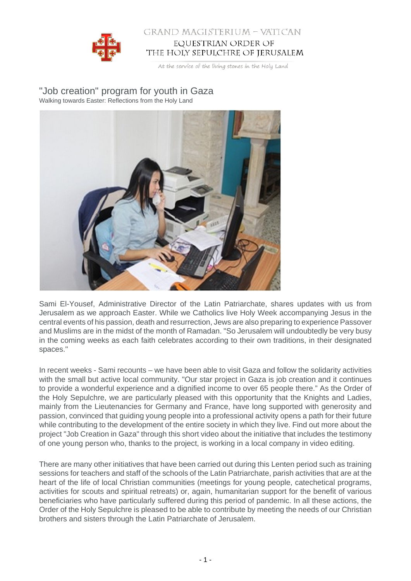

## GRAND MAGISTERIUM - VATICAN EQUESTRIAN ORDER OF THE HOLY SEPULCHRE OF JERUSALEM

At the service of the living stones in the Holy Land

"Job creation" program for youth in Gaza Walking towards Easter: Reflections from the Holy Land



Sami El-Yousef, Administrative Director of the Latin Patriarchate, shares updates with us from Jerusalem as we approach Easter. While we Catholics live Holy Week accompanying Jesus in the central events of his passion, death and resurrection, Jews are also preparing to experience Passover and Muslims are in the midst of the month of Ramadan. "So Jerusalem will undoubtedly be very busy in the coming weeks as each faith celebrates according to their own traditions, in their designated spaces."

In recent weeks - Sami recounts – we have been able to visit Gaza and follow the solidarity activities with the small but active local community. "Our star project in Gaza is job creation and it continues to provide a wonderful experience and a dignified income to over 65 people there." As the Order of the Holy Sepulchre, we are particularly pleased with this opportunity that the Knights and Ladies, mainly from the Lieutenancies for Germany and France, have long supported with generosity and passion, convinced that guiding young people into a professional activity opens a path for their future while contributing to the development of the entire society in which they live. Find out more about the project "Job Creation in Gaza" through this short video about the initiative that includes the testimony of one young person who, thanks to the project, is working in a local company in video editing.

There are many other initiatives that have been carried out during this Lenten period such as training sessions for teachers and staff of the schools of the Latin Patriarchate, parish activities that are at the heart of the life of local Christian communities (meetings for young people, catechetical programs, activities for scouts and spiritual retreats) or, again, humanitarian support for the benefit of various beneficiaries who have particularly suffered during this period of pandemic. In all these actions, the Order of the Holy Sepulchre is pleased to be able to contribute by meeting the needs of our Christian brothers and sisters through the Latin Patriarchate of Jerusalem.